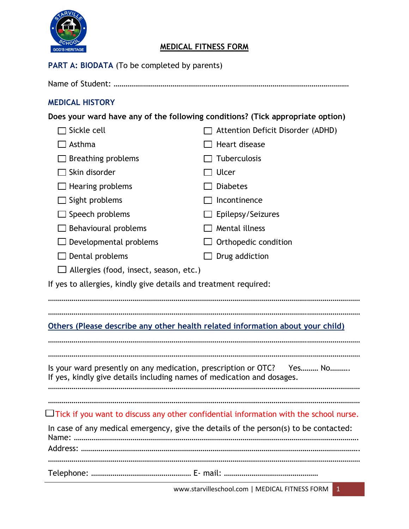

## **MEDICAL FITNESS FORM**

#### PART A: BIODATA (To be completed by parents)

Name of Student: …………………………………………………………………………………………………………

### **MEDICAL HISTORY**

**Does your ward have any of the following conditions? (Tick appropriate option)**

| Sickle cell                                                                                                                                     | Attention Deficit Disorder (ADHD)                                                            |  |  |  |
|-------------------------------------------------------------------------------------------------------------------------------------------------|----------------------------------------------------------------------------------------------|--|--|--|
| $\Box$ Asthma                                                                                                                                   | Heart disease                                                                                |  |  |  |
| Breathing problems                                                                                                                              | Tuberculosis                                                                                 |  |  |  |
| Skin disorder                                                                                                                                   | Ulcer                                                                                        |  |  |  |
| Hearing problems                                                                                                                                | <b>Diabetes</b>                                                                              |  |  |  |
| Sight problems                                                                                                                                  | Incontinence                                                                                 |  |  |  |
| Speech problems                                                                                                                                 | Epilepsy/Seizures                                                                            |  |  |  |
| Behavioural problems                                                                                                                            | Mental illness                                                                               |  |  |  |
| Developmental problems                                                                                                                          | Orthopedic condition                                                                         |  |  |  |
| Dental problems                                                                                                                                 | Drug addiction                                                                               |  |  |  |
| Allergies (food, insect, season, etc.)                                                                                                          |                                                                                              |  |  |  |
| If yes to allergies, kindly give details and treatment required:                                                                                |                                                                                              |  |  |  |
|                                                                                                                                                 |                                                                                              |  |  |  |
| Others (Please describe any other health related information about your child)                                                                  |                                                                                              |  |  |  |
|                                                                                                                                                 |                                                                                              |  |  |  |
| Is your ward presently on any medication, prescription or OTC? Yes No<br>If yes, kindly give details including names of medication and dosages. |                                                                                              |  |  |  |
|                                                                                                                                                 | $\Box$ Tick if you want to discuss any other confidential information with the school nurse. |  |  |  |
|                                                                                                                                                 | In case of any medical emergency, give the details of the person(s) to be contacted:         |  |  |  |
|                                                                                                                                                 |                                                                                              |  |  |  |
|                                                                                                                                                 |                                                                                              |  |  |  |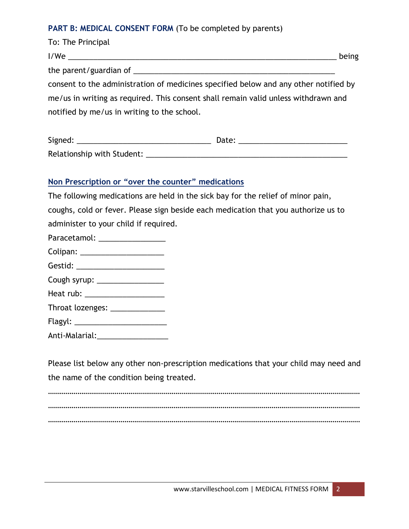#### PART B: MEDICAL CONSENT FORM (To be completed by parents)

| To: The Principal                                                                    |       |
|--------------------------------------------------------------------------------------|-------|
|                                                                                      | being |
|                                                                                      |       |
| consent to the administration of medicines specified below and any other notified by |       |
| me/us in writing as required. This consent shall remain valid unless withdrawn and   |       |
| notified by me/us in writing to the school.                                          |       |
|                                                                                      |       |

| Signed:                    | Date: |  |
|----------------------------|-------|--|
| Relationship with Student: |       |  |

#### **Non Prescription or "over the counter" medications**

The following medications are held in the sick bay for the relief of minor pain, coughs, cold or fever. Please sign beside each medication that you authorize us to administer to your child if required.

| Paracetamol: |  |
|--------------|--|
| Colipan:     |  |

| Cough syrup: |  |
|--------------|--|
|--------------|--|

| Heat rub: |  |  |
|-----------|--|--|
|           |  |  |

| Throat lozenges: |  |
|------------------|--|
|------------------|--|

- Flagyl: \_\_\_\_\_\_\_\_\_\_\_\_\_\_\_\_\_\_\_\_\_\_
- Anti-Malarial:\_\_\_\_\_\_\_\_\_\_\_\_\_\_\_\_\_

Please list below any other non-prescription medications that your child may need and the name of the condition being treated.

…………………………………………………………………………………………………………………………………………… …………………………………………………………………………………………………………………………………………… ……………………………………………………………………………………………………………………………………………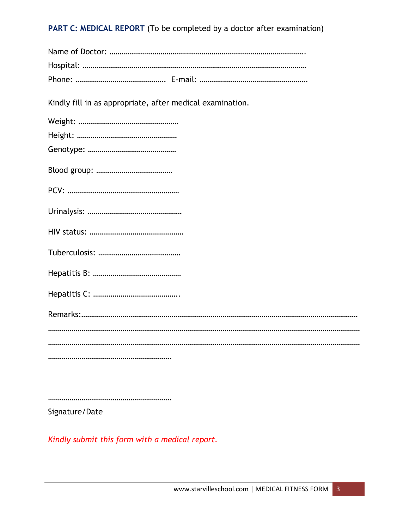**PART C: MEDICAL REPORT** (To be completed by a doctor after examination)

| Kindly fill in as appropriate, after medical examination. |
|-----------------------------------------------------------|
|                                                           |
|                                                           |
|                                                           |
|                                                           |
|                                                           |
|                                                           |
|                                                           |
|                                                           |
|                                                           |
|                                                           |
|                                                           |
|                                                           |
|                                                           |
|                                                           |

………………………………………………………

Signature/Date

*Kindly submit this form with a medical report.*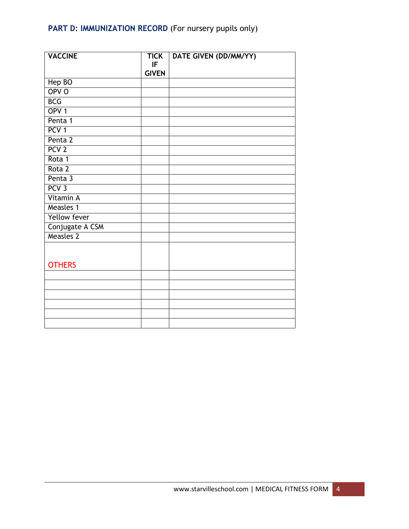# PART D: IMMUNIZATION RECORD (For nursery pupils only)

| <b>VACCINE</b>      | <b>TICK</b>  | DATE GIVEN (DD/MM/YY) |
|---------------------|--------------|-----------------------|
|                     | IF           |                       |
|                     | <b>GIVEN</b> |                       |
| Hep BO              |              |                       |
| OPV <sub>O</sub>    |              |                       |
| <b>BCG</b>          |              |                       |
| OPV <sub>1</sub>    |              |                       |
| Penta 1             |              |                       |
| PCV <sub>1</sub>    |              |                       |
| Penta 2             |              |                       |
| PCV <sub>2</sub>    |              |                       |
| Rota 1              |              |                       |
| Rota 2              |              |                       |
| Penta 3             |              |                       |
| PCV <sub>3</sub>    |              |                       |
| Vitamin A           |              |                       |
| Measles 1           |              |                       |
| <b>Yellow fever</b> |              |                       |
| Conjugate A CSM     |              |                       |
| <b>Measles 2</b>    |              |                       |
|                     |              |                       |
|                     |              |                       |
| <b>OTHERS</b>       |              |                       |
|                     |              |                       |
|                     |              |                       |
|                     |              |                       |
|                     |              |                       |
|                     |              |                       |
|                     |              |                       |